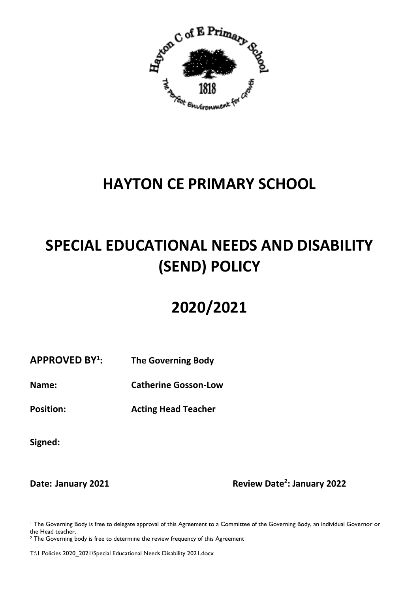

# **HAYTON CE PRIMARY SCHOOL**

# **SPECIAL EDUCATIONAL NEEDS AND DISABILITY (SEND) POLICY**

# **2020/2021**

#### **APPROVED BY<sup>1</sup> : The Governing Body**

**Name: Catherine Gosson-Low**

**Position: Acting Head Teacher** 

**Signed:**

**Date: January 2021** 

**: January 2022**

<sup>1</sup> The Governing Body is free to delegate approval of this Agreement to a Committee of the Governing Body, an individual Governor or the Head teacher.

<sup>2</sup> The Governing body is free to determine the review frequency of this Agreement

T:\1 Policies 2020\_2021\Special Educational Needs Disability 2021.docx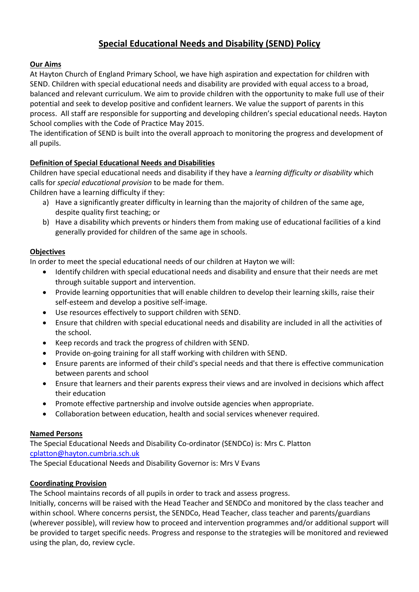# **Special Educational Needs and Disability (SEND) Policy**

# **Our Aims**

At Hayton Church of England Primary School, we have high aspiration and expectation for children with SEND. Children with special educational needs and disability are provided with equal access to a broad, balanced and relevant curriculum. We aim to provide children with the opportunity to make full use of their potential and seek to develop positive and confident learners. We value the support of parents in this process. All staff are responsible for supporting and developing children's special educational needs. Hayton School complies with the Code of Practice May 2015.

The identification of SEND is built into the overall approach to monitoring the progress and development of all pupils.

# **Definition of Special Educational Needs and Disabilities**

Children have special educational needs and disability if they have a *learning difficulty or disability* which calls for *special educational provision* to be made for them.

Children have a learning difficulty if they:

- a) Have a significantly greater difficulty in learning than the majority of children of the same age, despite quality first teaching; or
- b) Have a disability which prevents or hinders them from making use of educational facilities of a kind generally provided for children of the same age in schools.

# **Objectives**

In order to meet the special educational needs of our children at Hayton we will:

- Identify children with special educational needs and disability and ensure that their needs are met through suitable support and intervention.
- Provide learning opportunities that will enable children to develop their learning skills, raise their self-esteem and develop a positive self-image.
- Use resources effectively to support children with SEND.
- Ensure that children with special educational needs and disability are included in all the activities of the school.
- Keep records and track the progress of children with SEND.
- Provide on-going training for all staff working with children with SEND.
- Ensure parents are informed of their child's special needs and that there is effective communication between parents and school
- Ensure that learners and their parents express their views and are involved in decisions which affect their education
- Promote effective partnership and involve outside agencies when appropriate.
- Collaboration between education, health and social services whenever required.

# **Named Persons**

The Special Educational Needs and Disability Co-ordinator (SENDCo) is: Mrs C. Platton [cplatton@hayton.cumbria.sch.uk](mailto:cplatton@hayton.cumbria.sch.uk)

The Special Educational Needs and Disability Governor is: Mrs V Evans

# **Coordinating Provision**

The School maintains records of all pupils in order to track and assess progress.

Initially, concerns will be raised with the Head Teacher and SENDCo and monitored by the class teacher and within school. Where concerns persist, the SENDCo, Head Teacher, class teacher and parents/guardians (wherever possible), will review how to proceed and intervention programmes and/or additional support will be provided to target specific needs. Progress and response to the strategies will be monitored and reviewed using the plan, do, review cycle.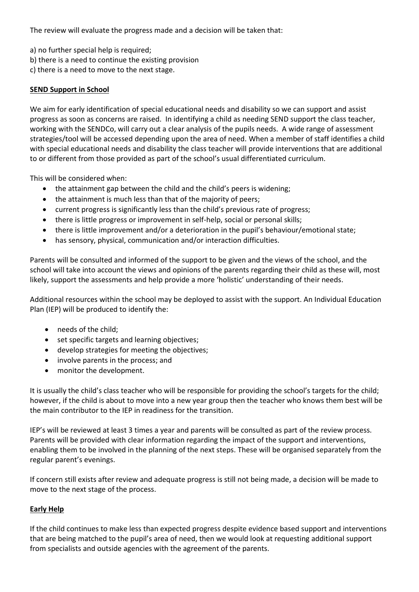The review will evaluate the progress made and a decision will be taken that:

- a) no further special help is required;
- b) there is a need to continue the existing provision
- c) there is a need to move to the next stage.

# **SEND Support in School**

We aim for early identification of special educational needs and disability so we can support and assist progress as soon as concerns are raised. In identifying a child as needing SEND support the class teacher, working with the SENDCo, will carry out a clear analysis of the pupils needs. A wide range of assessment strategies/tool will be accessed depending upon the area of need. When a member of staff identifies a child with special educational needs and disability the class teacher will provide interventions that are additional to or different from those provided as part of the school's usual differentiated curriculum.

This will be considered when:

- the attainment gap between the child and the child's peers is widening;
- the attainment is much less than that of the majority of peers;
- current progress is significantly less than the child's previous rate of progress;
- there is little progress or improvement in self-help, social or personal skills;
- there is little improvement and/or a deterioration in the pupil's behaviour/emotional state;
- has sensory, physical, communication and/or interaction difficulties.

Parents will be consulted and informed of the support to be given and the views of the school, and the school will take into account the views and opinions of the parents regarding their child as these will, most likely, support the assessments and help provide a more 'holistic' understanding of their needs.

Additional resources within the school may be deployed to assist with the support. An Individual Education Plan (IEP) will be produced to identify the:

- needs of the child;
- set specific targets and learning objectives;
- develop strategies for meeting the objectives;
- involve parents in the process; and
- monitor the development.

It is usually the child's class teacher who will be responsible for providing the school's targets for the child; however, if the child is about to move into a new year group then the teacher who knows them best will be the main contributor to the IEP in readiness for the transition.

IEP's will be reviewed at least 3 times a year and parents will be consulted as part of the review process. Parents will be provided with clear information regarding the impact of the support and interventions, enabling them to be involved in the planning of the next steps. These will be organised separately from the regular parent's evenings.

If concern still exists after review and adequate progress is still not being made, a decision will be made to move to the next stage of the process.

# **Early Help**

If the child continues to make less than expected progress despite evidence based support and interventions that are being matched to the pupil's area of need, then we would look at requesting additional support from specialists and outside agencies with the agreement of the parents.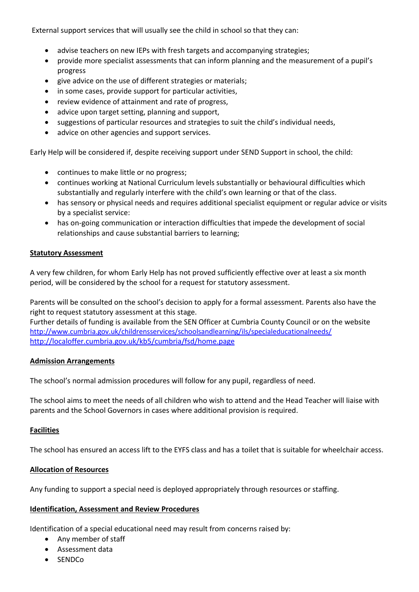External support services that will usually see the child in school so that they can:

- advise teachers on new IEPs with fresh targets and accompanying strategies;
- provide more specialist assessments that can inform planning and the measurement of a pupil's progress
- give advice on the use of different strategies or materials;
- in some cases, provide support for particular activities,
- review evidence of attainment and rate of progress,
- advice upon target setting, planning and support,
- suggestions of particular resources and strategies to suit the child's individual needs,
- advice on other agencies and support services.

Early Help will be considered if, despite receiving support under SEND Support in school, the child:

- continues to make little or no progress;
- continues working at National Curriculum levels substantially or behavioural difficulties which substantially and regularly interfere with the child's own learning or that of the class.
- has sensory or physical needs and requires additional specialist equipment or regular advice or visits by a specialist service:
- has on-going communication or interaction difficulties that impede the development of social relationships and cause substantial barriers to learning;

## **Statutory Assessment**

A very few children, for whom Early Help has not proved sufficiently effective over at least a six month period, will be considered by the school for a request for statutory assessment.

Parents will be consulted on the school's decision to apply for a formal assessment. Parents also have the right to request statutory assessment at this stage.

Further details of funding is available from the SEN Officer at Cumbria County Council or on the website <http://www.cumbria.gov.uk/childrensservices/schoolsandlearning/ils/specialeducationalneeds/> <http://localoffer.cumbria.gov.uk/kb5/cumbria/fsd/home.page>

### **Admission Arrangements**

The school's normal admission procedures will follow for any pupil, regardless of need.

The school aims to meet the needs of all children who wish to attend and the Head Teacher will liaise with parents and the School Governors in cases where additional provision is required.

# **Facilities**

The school has ensured an access lift to the EYFS class and has a toilet that is suitable for wheelchair access.

# **Allocation of Resources**

Any funding to support a special need is deployed appropriately through resources or staffing.

### **Identification, Assessment and Review Procedures**

Identification of a special educational need may result from concerns raised by:

- Any member of staff
- Assessment data
- $\bullet$  SENDCo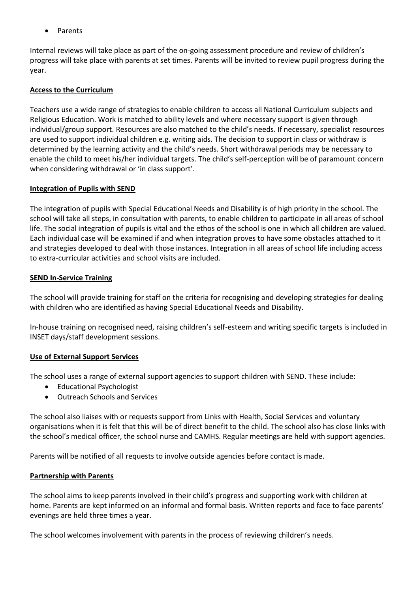Parents

Internal reviews will take place as part of the on-going assessment procedure and review of children's progress will take place with parents at set times. Parents will be invited to review pupil progress during the year.

# **Access to the Curriculum**

Teachers use a wide range of strategies to enable children to access all National Curriculum subjects and Religious Education. Work is matched to ability levels and where necessary support is given through individual/group support. Resources are also matched to the child's needs. If necessary, specialist resources are used to support individual children e.g. writing aids. The decision to support in class or withdraw is determined by the learning activity and the child's needs. Short withdrawal periods may be necessary to enable the child to meet his/her individual targets. The child's self-perception will be of paramount concern when considering withdrawal or 'in class support'.

# **Integration of Pupils with SEND**

The integration of pupils with Special Educational Needs and Disability is of high priority in the school. The school will take all steps, in consultation with parents, to enable children to participate in all areas of school life. The social integration of pupils is vital and the ethos of the school is one in which all children are valued. Each individual case will be examined if and when integration proves to have some obstacles attached to it and strategies developed to deal with those instances. Integration in all areas of school life including access to extra-curricular activities and school visits are included.

## **SEND In-Service Training**

The school will provide training for staff on the criteria for recognising and developing strategies for dealing with children who are identified as having Special Educational Needs and Disability.

In-house training on recognised need, raising children's self-esteem and writing specific targets is included in INSET days/staff development sessions.

# **Use of External Support Services**

The school uses a range of external support agencies to support children with SEND. These include:

- Educational Psychologist
- Outreach Schools and Services

The school also liaises with or requests support from Links with Health, Social Services and voluntary organisations when it is felt that this will be of direct benefit to the child. The school also has close links with the school's medical officer, the school nurse and CAMHS. Regular meetings are held with support agencies.

Parents will be notified of all requests to involve outside agencies before contact is made.

# **Partnership with Parents**

The school aims to keep parents involved in their child's progress and supporting work with children at home. Parents are kept informed on an informal and formal basis. Written reports and face to face parents' evenings are held three times a year.

The school welcomes involvement with parents in the process of reviewing children's needs.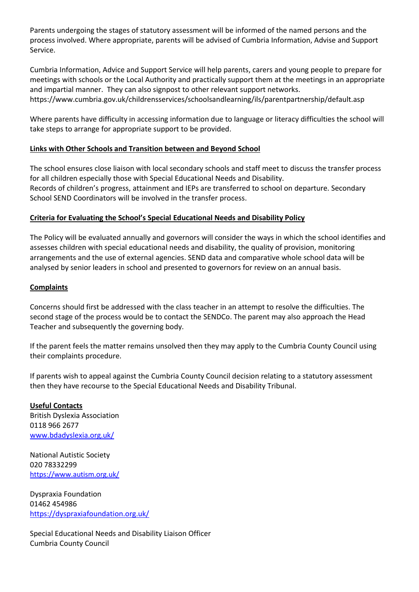Parents undergoing the stages of statutory assessment will be informed of the named persons and the process involved. Where appropriate, parents will be advised of Cumbria Information, Advise and Support Service.

Cumbria Information, Advice and Support Service will help parents, carers and young people to prepare for meetings with schools or the Local Authority and practically support them at the meetings in an appropriate and impartial manner. They can also signpost to other relevant support networks. https://www.cumbria.gov.uk/childrensservices/schoolsandlearning/ils/parentpartnership/default.asp

Where parents have difficulty in accessing information due to language or literacy difficulties the school will take steps to arrange for appropriate support to be provided.

# **Links with Other Schools and Transition between and Beyond School**

The school ensures close liaison with local secondary schools and staff meet to discuss the transfer process for all children especially those with Special Educational Needs and Disability. Records of children's progress, attainment and IEPs are transferred to school on departure. Secondary School SEND Coordinators will be involved in the transfer process.

# **Criteria for Evaluating the School's Special Educational Needs and Disability Policy**

The Policy will be evaluated annually and governors will consider the ways in which the school identifies and assesses children with special educational needs and disability, the quality of provision, monitoring arrangements and the use of external agencies. SEND data and comparative whole school data will be analysed by senior leaders in school and presented to governors for review on an annual basis.

# **Complaints**

Concerns should first be addressed with the class teacher in an attempt to resolve the difficulties. The second stage of the process would be to contact the SENDCo. The parent may also approach the Head Teacher and subsequently the governing body.

If the parent feels the matter remains unsolved then they may apply to the Cumbria County Council using their complaints procedure.

If parents wish to appeal against the Cumbria County Council decision relating to a statutory assessment then they have recourse to the Special Educational Needs and Disability Tribunal.

**Useful Contacts** British Dyslexia Association 0118 966 2677 [www.bdadyslexia.org.uk/](http://www.bdadyslexia.org.uk/)

National Autistic Society 020 78332299 <https://www.autism.org.uk/>

Dyspraxia Foundation 01462 454986 <https://dyspraxiafoundation.org.uk/>

Special Educational Needs and Disability Liaison Officer Cumbria County Council